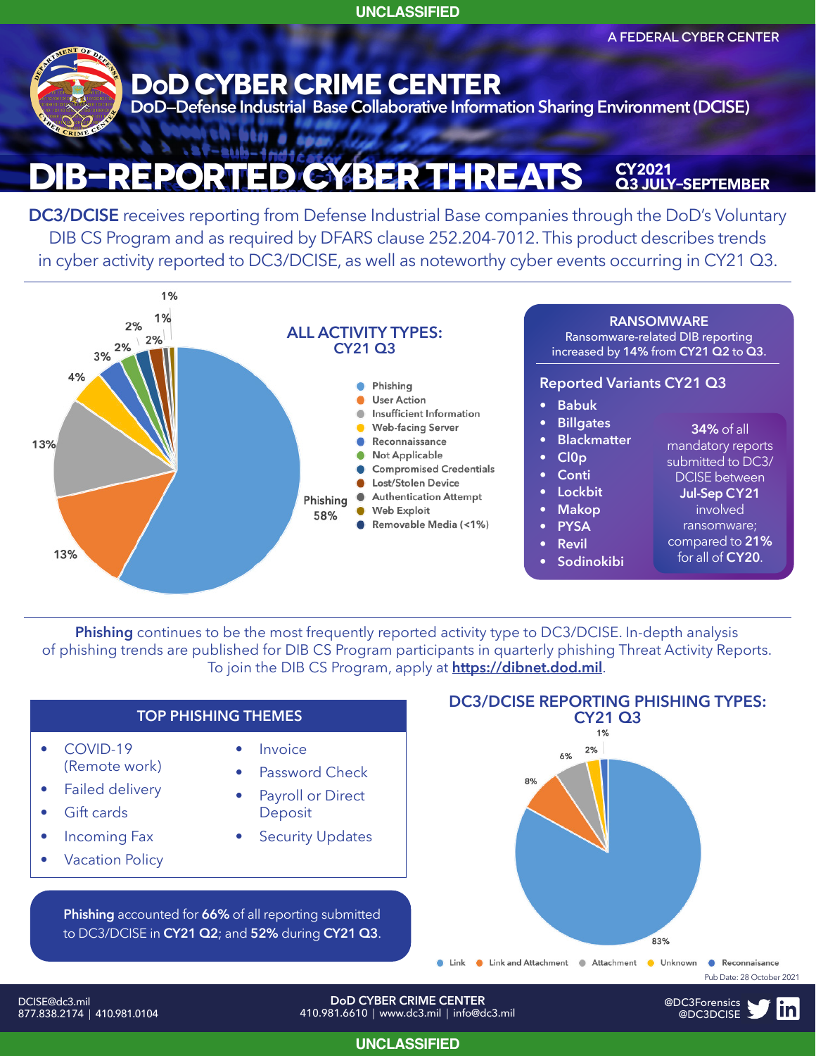**UNCLASSIFIED**

A FEDERAL CYBER CENTER



### **ST-Buk-GBER THREATS CY2021 Q3 july–september**

**DC3/DCISE** receives reporting from Defense Industrial Base companies through the DoD's Voluntary DIB CS Program and as required by DFARS clause 252.204-7012. This product describes trends in cyber activity reported to DC3/DCISE, as well as noteworthy cyber events occurring in CY21 Q3.



**Phishing** continues to be the most frequently reported activity type to DC3/DCISE. In-depth analysis of phishing trends are published for DIB CS Program participants in quarterly phishing Threat Activity Reports. To join the DIB CS Program, apply at **https://dibnet.dod.mil**.



877.838.2174 | 410.981.0104

410.981.6610 | www.dc3.mil | info@dc3.mil

**UNCLASSIFIED**

@DC3Forensics @DC3DCISE